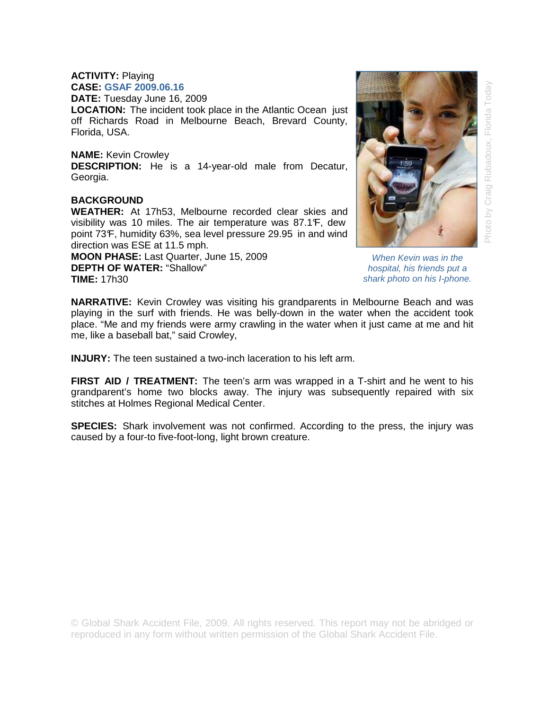## **ACTIVITY:** Playing **CASE: GSAF 2009.06.16**

**DATE:** Tuesday June 16, 2009

**LOCATION:** The incident took place in the Atlantic Ocean just off Richards Road in Melbourne Beach, Brevard County, Florida, USA.

## **NAME:** Kevin Crowley

**DESCRIPTION:** He is a 14-year-old male from Decatur, Georgia.

## **BACKGROUND**

**WEATHER:** At 17h53, Melbourne recorded clear skies and visibility was 10 miles. The air temperature was 87.1°F, dew point 73°F, humidity 63%, sea level pressure 29.95 in and wind direction was ESE at 11.5 mph.

**MOON PHASE:** Last Quarter, June 15, 2009 **DEPTH OF WATER:** "Shallow" **TIME:** 17h30



Photo by Craig Rubadoux, Florida Today

When Kevin was in the hospital, his friends put a shark photo on his I-phone.

**NARRATIVE:** Kevin Crowley was visiting his grandparents in Melbourne Beach and was playing in the surf with friends. He was belly-down in the water when the accident took place. "Me and my friends were army crawling in the water when it just came at me and hit me, like a baseball bat," said Crowley,

**INJURY:** The teen sustained a two-inch laceration to his left arm.

**FIRST AID / TREATMENT:** The teen's arm was wrapped in a T-shirt and he went to his grandparent's home two blocks away. The injury was subsequently repaired with six stitches at Holmes Regional Medical Center.

**SPECIES:** Shark involvement was not confirmed. According to the press, the injury was caused by a four-to five-foot-long, light brown creature.

© Global Shark Accident File, 2009. All rights reserved. This report may not be abridged or reproduced in any form without written permission of the Global Shark Accident File.